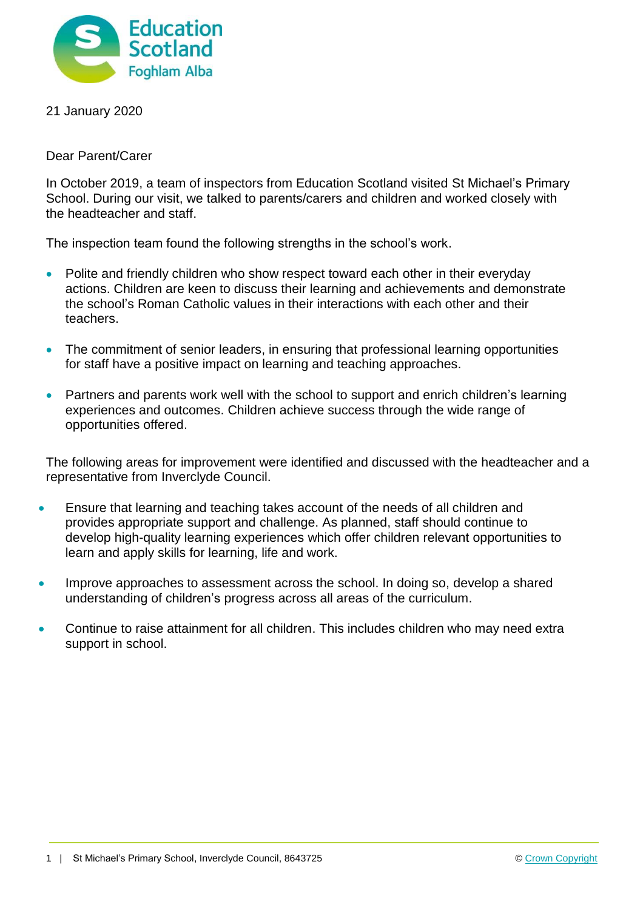

## 21 January 2020

Dear Parent/Carer

In October 2019, a team of inspectors from Education Scotland visited St Michael's Primary School. During our visit, we talked to parents/carers and children and worked closely with the headteacher and staff.

The inspection team found the following strengths in the school's work.

- Polite and friendly children who show respect toward each other in their everyday actions. Children are keen to discuss their learning and achievements and demonstrate the school's Roman Catholic values in their interactions with each other and their teachers.
- The commitment of senior leaders, in ensuring that professional learning opportunities for staff have a positive impact on learning and teaching approaches.
- Partners and parents work well with the school to support and enrich children's learning experiences and outcomes. Children achieve success through the wide range of opportunities offered.

The following areas for improvement were identified and discussed with the headteacher and a representative from Inverclyde Council.

- Ensure that learning and teaching takes account of the needs of all children and provides appropriate support and challenge. As planned, staff should continue to develop high-quality learning experiences which offer children relevant opportunities to learn and apply skills for learning, life and work.
- Improve approaches to assessment across the school. In doing so, develop a shared understanding of children's progress across all areas of the curriculum.
- Continue to raise attainment for all children. This includes children who may need extra support in school.